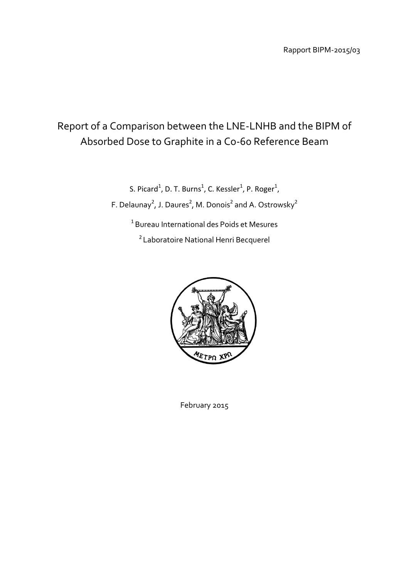# Report of a Comparison between the LNE-LNHB and the BIPM of Absorbed Dose to Graphite in a Co-60 Reference Beam

S. Picard<sup>1</sup>, D. T. Burns<sup>1</sup>, C. Kessler<sup>1</sup>, P. Roger<sup>1</sup>, F. Delaunay<sup>2</sup>, J. Daures<sup>2</sup>, M. Donois<sup>2</sup> and A. Ostrowsky<sup>2</sup> <sup>1</sup> Bureau International des Poids et Mesures

<sup>2</sup>Laboratoire National Henri Becquerel



February 2015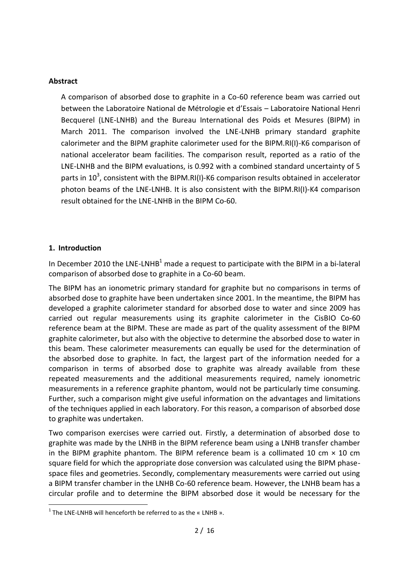## **Abstract**

A comparison of absorbed dose to graphite in a Co-60 reference beam was carried out between the Laboratoire National de Métrologie et d'Essais – Laboratoire National Henri Becquerel (LNE-LNHB) and the Bureau International des Poids et Mesures (BIPM) in March 2011. The comparison involved the LNE-LNHB primary standard graphite calorimeter and the BIPM graphite calorimeter used for the BIPM.RI(I)-K6 comparison of national accelerator beam facilities. The comparison result, reported as a ratio of the LNE-LNHB and the BIPM evaluations, is 0.992 with a combined standard uncertainty of 5 parts in 10<sup>3</sup>, consistent with the BIPM.RI(I)-K6 comparison results obtained in accelerator photon beams of the LNE-LNHB. It is also consistent with the BIPM.RI(I)-K4 comparison result obtained for the LNE-LNHB in the BIPM Co-60.

# **1. Introduction**

 $\overline{\phantom{a}}$ 

In December 2010 the LNE-LNHB<sup>1</sup> made a request to participate with the BIPM in a bi-lateral comparison of absorbed dose to graphite in a Co-60 beam.

The BIPM has an ionometric primary standard for graphite but no comparisons in terms of absorbed dose to graphite have been undertaken since 2001. In the meantime, the BIPM has developed a graphite calorimeter standard for absorbed dose to water and since 2009 has carried out regular measurements using its graphite calorimeter in the CisBIO Co-60 reference beam at the BIPM. These are made as part of the quality assessment of the BIPM graphite calorimeter, but also with the objective to determine the absorbed dose to water in this beam. These calorimeter measurements can equally be used for the determination of the absorbed dose to graphite. In fact, the largest part of the information needed for a comparison in terms of absorbed dose to graphite was already available from these repeated measurements and the additional measurements required, namely ionometric measurements in a reference graphite phantom, would not be particularly time consuming. Further, such a comparison might give useful information on the advantages and limitations of the techniques applied in each laboratory. For this reason, a comparison of absorbed dose to graphite was undertaken.

Two comparison exercises were carried out. Firstly, a determination of absorbed dose to graphite was made by the LNHB in the BIPM reference beam using a LNHB transfer chamber in the BIPM graphite phantom. The BIPM reference beam is a collimated 10 cm  $\times$  10 cm square field for which the appropriate dose conversion was calculated using the BIPM phasespace files and geometries. Secondly, complementary measurements were carried out using a BIPM transfer chamber in the LNHB Co-60 reference beam. However, the LNHB beam has a circular profile and to determine the BIPM absorbed dose it would be necessary for the

 $1$  The LNE-LNHB will henceforth be referred to as the « LNHB ».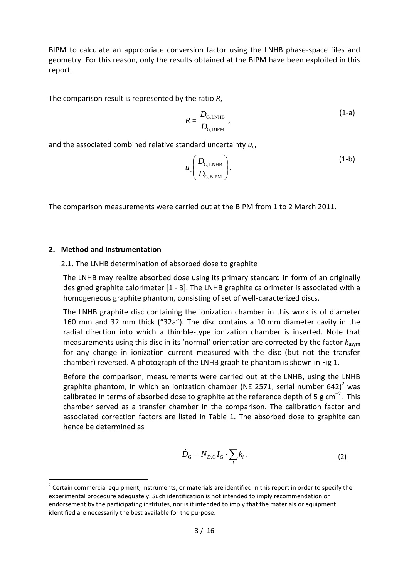BIPM to calculate an appropriate conversion factor using the LNHB phase-space files and geometry. For this reason, only the results obtained at the BIPM have been exploited in this report.

The comparison result is represented by the ratio *R*,

$$
R = \frac{D_{\text{G,LNHB}}}{D_{\text{G,BIPM}}},\tag{1-a}
$$

and the associated combined relative standard uncertainty  $u_c$ ,

$$
u_c \left( \frac{D_{\text{G,LNHB}}}{D_{\text{G,BIPM}}} \right). \tag{1-b}
$$

The comparison measurements were carried out at the BIPM from 1 to 2 March 2011.

### **2. Method and Instrumentation**

 $\overline{a}$ 

#### 2.1. The LNHB determination of absorbed dose to graphite

The LNHB may realize absorbed dose using its primary standard in form of an originally designed graphite calorimeter [1 - 3]. The LNHB graphite calorimeter is associated with a homogeneous graphite phantom, consisting of set of well-caracterized discs.

The LNHB graphite disc containing the ionization chamber in this work is of diameter 160 mm and 32 mm thick ("32a"). The disc contains a 10 mm diameter cavity in the radial direction into which a thimble-type ionization chamber is inserted. Note that measurements using this disc in its 'normal' orientation are corrected by the factor *k*asym for any change in ionization current measured with the disc (but not the transfer chamber) reversed. A photograph of the LNHB graphite phantom is shown in Fig 1.

Before the comparison, measurements were carried out at the LNHB, using the LNHB graphite phantom, in which an ionization chamber (NE 2571, serial number 642)<sup>2</sup> was calibrated in terms of absorbed dose to graphite at the reference depth of 5 g  $cm^{-2}$ . This chamber served as a transfer chamber in the comparison. The calibration factor and associated correction factors are listed in Table 1. The absorbed dose to graphite can hence be determined as

$$
\dot{D}_{\rm G} = N_{D,\rm G} I_G \cdot \sum_i k_i \,. \tag{2}
$$

 $2$  Certain commercial equipment, instruments, or materials are identified in this report in order to specify the experimental procedure adequately. Such identification is not intended to imply recommendation or endorsement by the participating institutes, nor is it intended to imply that the materials or equipment identified are necessarily the best available for the purpose.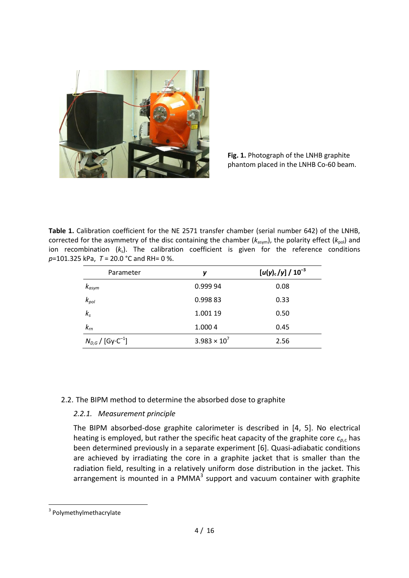

**Fig. 1.** Photograph of the LNHB graphite phantom placed in the LNHB Co-60 beam.

**Table 1.** Calibration coefficient for the NE 2571 transfer chamber (serial number 642) of the LNHB, corrected for the asymmetry of the disc containing the chamber ( $k_{\text{asym}}$ ), the polarity effect ( $k_{\text{pol}}$ ) and ion recombination ( $k_s$ ). The calibration coefficient is given for the reference conditions *p*=101.325 kPa, *T* = 20.0 °C and RH= 0 %.

| Parameter                         | у                     | $[u(y)_{c}/y] / 10^{-3}$ |
|-----------------------------------|-----------------------|--------------------------|
| $k_{asym}$                        | 0.999 94              | 0.08                     |
| $k_{pol}$                         | 0.99883               | 0.33                     |
| $k_{s}$                           | 1.001 19              | 0.50                     |
| $k_{rn}$                          | 1.000 4               | 0.45                     |
| $N_{D,G}$ / [Gy·C <sup>-1</sup> ] | $3.983 \times 10^{7}$ | 2.56                     |

# 2.2. The BIPM method to determine the absorbed dose to graphite

# *2.2.1. Measurement principle*

The BIPM absorbed-dose graphite calorimeter is described in [4, 5]. No electrical heating is employed, but rather the specific heat capacity of the graphite core *cp*,c has been determined previously in a separate experiment [6]. Quasi-adiabatic conditions are achieved by irradiating the core in a graphite jacket that is smaller than the radiation field, resulting in a relatively uniform dose distribution in the jacket. This arrangement is mounted in a PMMA $<sup>3</sup>$  support and vacuum container with graphite</sup>

 $\overline{\phantom{a}}$ 

<sup>&</sup>lt;sup>3</sup> Polymethylmethacrylate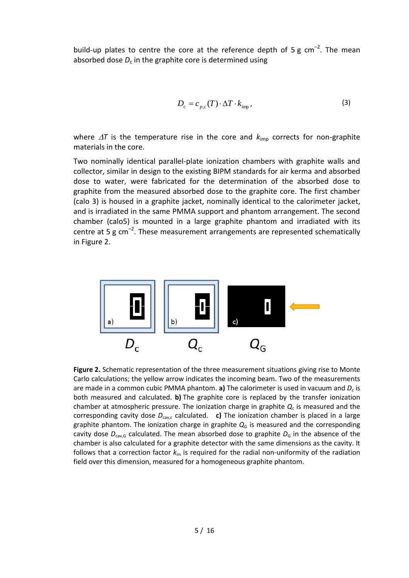build-up plates to centre the core at the reference depth of 5 g  $cm^{-2}$ . The mean absorbed dose  $D_c$  in the graphite core is determined using

$$
D_{\rm c} = c_{p,\rm c}(T) \cdot \Delta T \cdot k_{\rm imp},\tag{3}
$$

where  $\Delta T$  is the temperature rise in the core and  $k_{\text{imp}}$  corrects for non-graphite materials in the core.

Two nominally identical parallel-plate ionization chambers with graphite walls and collector, similar in design to the existing BIPM standards for air kerma and absorbed dose to water, were fabricated for the determination of the absorbed dose to graphite from the measured absorbed dose to the graphite core. The first chamber (calo 3) is housed in a graphite jacket, nominally identical to the calorimeter jacket, and is irradiated in the same PMMA support and phantom arrangement. The second chamber (calo5) is mounted in a large graphite phantom and irradiated with its centre at 5 g  $cm^{-2}$ . These measurement arrangements are represented schematically in Figure 2.



**Figure 2.** Schematic representation of the three measurement situations giving rise to Monte Carlo calculations; the yellow arrow indicates the incoming beam. Two of the measurements are made in a common cubic PMMA phantom. **a)** The calorimeter is used in vacuum and  $D_c$  is both measured and calculated. **b)** The graphite core is replaced by the transfer ionization chamber at atmospheric pressure. The ionization charge in graphite  $Q_c$  is measured and the corresponding cavity dose *D*cav,c calculated. **c)** The ionization chamber is placed in a large graphite phantom. The ionization charge in graphite  $Q<sub>G</sub>$  is measured and the corresponding cavity dose  $D_{\text{cav},G}$  calculated. The mean absorbed dose to graphite  $D_G$  in the absence of the chamber is also calculated for a graphite detector with the same dimensions as the cavity. It follows that a correction factor *k*rn is required for the radial non-uniformity of the radiation field over this dimension, measured for a homogeneous graphite phantom.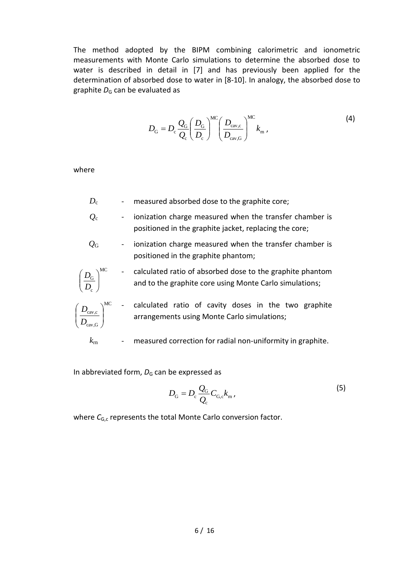The method adopted by the BIPM combining calorimetric and ionometric measurements with Monte Carlo simulations to determine the absorbed dose to water is described in detail in [7] and has previously been applied for the determination of absorbed dose to water in [8-10]. In analogy, the absorbed dose to graphite  $D<sub>G</sub>$  can be evaluated as

$$
D_{\rm G} = D_{\rm c} \frac{Q_{\rm G}}{Q_{\rm c}} \left(\frac{D_{\rm G}}{D_{\rm c}}\right)^{\rm MC} \left(\frac{D_{\rm cav,c}}{D_{\rm cav,G}}\right)^{\rm MC} k_{\rm m} \,,\tag{4}
$$

where

- *D*<sub>c</sub> measured absorbed dose to the graphite core;
- *Q*<sup>c</sup> ionization charge measured when the transfer chamber is positioned in the graphite jacket, replacing the core;
- $Q<sub>G</sub>$  ionization charge measured when the transfer chamber is positioned in the graphite phantom;

$$
\frac{D_{\text{G}}}{D_{\text{c}}}
$$
 
$$
\sum_{n=1}^{M} \frac{D_{\text{G}}}{D_{\text{c}}}
$$
 and to the graphite core using Monte Carlo simulations;



c

 $\overline{\phantom{a}}$  $\setminus$ 

ſ

 $D_{\text{cav-c}}^{\text{NCC}}$  - calculated ratio of cavity doses in the two graphite arrangements using Monte Carlo simulations;

 $k_{\rm m}$  - measured correction for radial non-uniformity in graphite.

In abbreviated form,  $D<sub>G</sub>$  can be expressed as

$$
D_{\rm G} = D_{\rm c} \frac{Q_{\rm G}}{Q_{\rm c}} C_{\rm G,c} k_{\rm m} \,, \tag{5}
$$

where C<sub>G,c</sub> represents the total Monte Carlo conversion factor.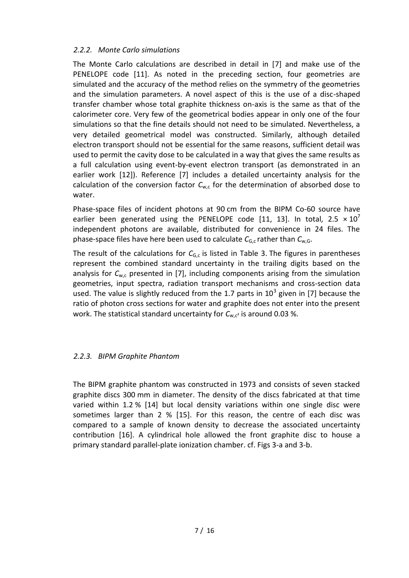## *2.2.2. Monte Carlo simulations*

The Monte Carlo calculations are described in detail in [7] and make use of the PENELOPE code [11]. As noted in the preceding section, four geometries are simulated and the accuracy of the method relies on the symmetry of the geometries and the simulation parameters. A novel aspect of this is the use of a disc-shaped transfer chamber whose total graphite thickness on-axis is the same as that of the calorimeter core. Very few of the geometrical bodies appear in only one of the four simulations so that the fine details should not need to be simulated. Nevertheless, a very detailed geometrical model was constructed. Similarly, although detailed electron transport should not be essential for the same reasons, sufficient detail was used to permit the cavity dose to be calculated in a way that gives the same results as a full calculation using event-by-event electron transport (as demonstrated in an earlier work [12]). Reference [7] includes a detailed uncertainty analysis for the calculation of the conversion factor  $C_{w,c}$  for the determination of absorbed dose to water.

Phase-space files of incident photons at 90 cm from the BIPM Co-60 source have earlier been generated using the PENELOPE code [11, 13]. In total, 2.5  $\times$  10<sup>7</sup> independent photons are available, distributed for convenience in 24 files. The phase-space files have here been used to calculate  $C_{G,c}$  rather than  $C_{w,G}$ .

The result of the calculations for  $C_{G,c}$  is listed in Table 3. The figures in parentheses represent the combined standard uncertainty in the trailing digits based on the analysis for  $C_{w,c}$  presented in [7], including components arising from the simulation geometries, input spectra, radiation transport mechanisms and cross-section data used. The value is slightly reduced from the 1.7 parts in  $10^3$  given in [7] because the ratio of photon cross sections for water and graphite does not enter into the present work. The statistical standard uncertainty for  $C_{w,c^2}$  is around 0.03 %.

# *2.2.3. BIPM Graphite Phantom*

The BIPM graphite phantom was constructed in 1973 and consists of seven stacked graphite discs 300 mm in diameter. The density of the discs fabricated at that time varied within 1.2 % [14] but local density variations within one single disc were sometimes larger than 2 % [15]. For this reason, the centre of each disc was compared to a sample of known density to decrease the associated uncertainty contribution [16]. A cylindrical hole allowed the front graphite disc to house a primary standard parallel-plate ionization chamber. cf. Figs 3-a and 3-b.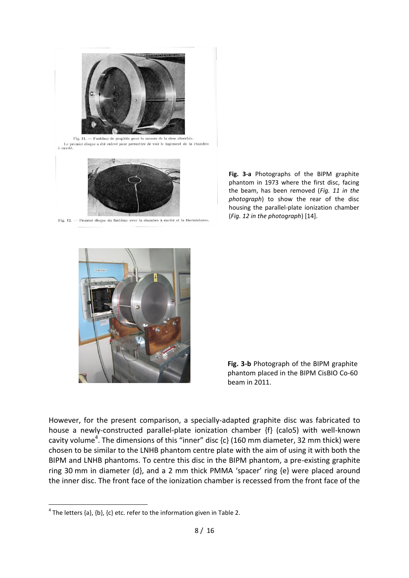

Fig. 11. — Fantôme de graphite pour la mesure de la dose absorbée.<br> Le premier disque a été enlevé pour permettre de voir le logement de la chambre<br> à cavité.



Fig. 12. - Premier disque du fantôme avec la chambre à cavité et la thermistance.

**Fig. 3-a** Photographs of the BIPM graphite phantom in 1973 where the first disc, facing the beam, has been removed (*Fig. 11 in the photograph*) to show the rear of the disc housing the parallel-plate ionization chamber (*Fig. 12 in the photograph*) [14].



**Fig. 3-b** Photograph of the BIPM graphite phantom placed in the BIPM CisBIO Co-60 beam in 2011.

However, for the present comparison, a specially-adapted graphite disc was fabricated to house a newly-constructed parallel-plate ionization chamber {f} (calo5) with well-known cavity volume<sup>4</sup>. The dimensions of this "inner" disc {c} (160 mm diameter, 32 mm thick) were chosen to be similar to the LNHB phantom centre plate with the aim of using it with both the BIPM and LNHB phantoms. To centre this disc in the BIPM phantom, a pre-existing graphite ring 30 mm in diameter {d}, and a 2 mm thick PMMA 'spacer' ring {e} were placed around the inner disc. The front face of the ionization chamber is recessed from the front face of the

 $\overline{\phantom{a}}$ 

 $^4$  The letters {a}, {b}, {c} etc. refer to the information given in Table 2.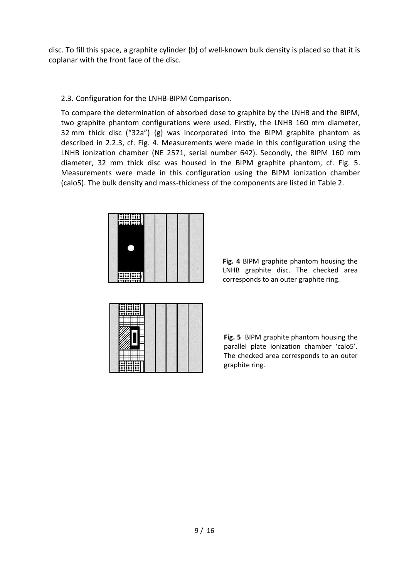disc. To fill this space, a graphite cylinder {b} of well-known bulk density is placed so that it is coplanar with the front face of the disc.

2.3. Configuration for the LNHB-BIPM Comparison.

To compare the determination of absorbed dose to graphite by the LNHB and the BIPM, two graphite phantom configurations were used. Firstly, the LNHB 160 mm diameter, 32 mm thick disc ("32a") {g} was incorporated into the BIPM graphite phantom as described in 2.2.3, cf. Fig. 4. Measurements were made in this configuration using the LNHB ionization chamber (NE 2571, serial number 642). Secondly, the BIPM 160 mm diameter, 32 mm thick disc was housed in the BIPM graphite phantom, cf. Fig. 5. Measurements were made in this configuration using the BIPM ionization chamber (calo5). The bulk density and mass-thickness of the components are listed in Table 2.

| 1 |  |  |
|---|--|--|

**Fig. 4** BIPM graphite phantom housing the LNHB graphite disc. The checked area corresponds to an outer graphite ring.

**Fig. 5** BIPM graphite phantom housing the parallel plate ionization chamber 'calo5'. The checked area corresponds to an outer graphite ring.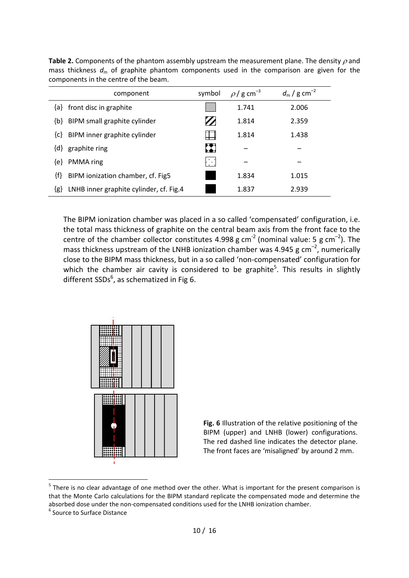| component                                      | symbol | $\rho$ / g cm <sup>-3</sup> | $d_{\rm m}$ / g cm <sup>-2</sup> |
|------------------------------------------------|--------|-----------------------------|----------------------------------|
| front disc in graphite<br>{a}                  |        | 1.741                       | 2.006                            |
| BIPM small graphite cylinder<br>$\{b\}$        |        | 1.814                       | 2.359                            |
| BIPM inner graphite cylinder<br>${c}$          |        | 1.814                       | 1.438                            |
| graphite ring<br>$\{d\}$                       | ш      |                             |                                  |
| PMMA ring<br>{e}                               | -14    |                             |                                  |
| ${f}$<br>BIPM ionization chamber, cf. Fig5     |        | 1.834                       | 1.015                            |
| LNHB inner graphite cylinder, cf. Fig.4<br>{g} |        | 1.837                       | 2.939                            |

**Table 2.** Components of the phantom assembly upstream the measurement plane. The density  $\rho$  and mass thickness  $d_m$  of graphite phantom components used in the comparison are given for the components in the centre of the beam.

The BIPM ionization chamber was placed in a so called 'compensated' configuration, i.e. the total mass thickness of graphite on the central beam axis from the front face to the centre of the chamber collector constitutes 4.998 g cm<sup>-2</sup> (nominal value: 5 g cm<sup>-2</sup>). The mass thickness upstream of the LNHB ionization chamber was 4.945  $\rm g$  cm<sup>-2</sup>, numerically close to the BIPM mass thickness, but in a so called 'non-compensated' configuration for which the chamber air cavity is considered to be graphite<sup>5</sup>. This results in slightly different SSDs<sup>6</sup>, as schematized in Fig 6.



**Fig. 6** Illustration of the relative positioning of the BIPM (upper) and LNHB (lower) configurations. The red dashed line indicates the detector plane. The front faces are 'misaligned' by around 2 mm.

 $\overline{a}$ 

 $<sup>5</sup>$  There is no clear advantage of one method over the other. What is important for the present comparison is</sup> that the Monte Carlo calculations for the BIPM standard replicate the compensated mode and determine the absorbed dose under the non-compensated conditions used for the LNHB ionization chamber.

<sup>&</sup>lt;sup>6</sup> Source to Surface Distance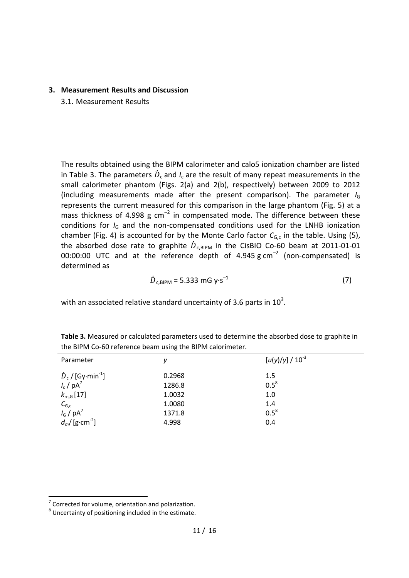#### **3. Measurement Results and Discussion**

3.1. Measurement Results

The results obtained using the BIPM calorimeter and calo5 ionization chamber are listed in Table 3. The parameters  $\dot{D}_{c}$  and  $I_{c}$  are the result of many repeat measurements in the small calorimeter phantom (Figs. 2(a) and 2(b), respectively) between 2009 to 2012 (including measurements made after the present comparison). The parameter *I*<sup>G</sup> represents the current measured for this comparison in the large phantom (Fig. 5) at a mass thickness of 4.998  $g \text{ cm}^{-2}$  in compensated mode. The difference between these conditions for *I*<sub>G</sub> and the non-compensated conditions used for the LNHB ionization chamber (Fig. 4) is accounted for by the Monte Carlo factor  $C_{G,c}$  in the table. Using (5), the absorbed dose rate to graphite  $\dot{D}_{c,\text{BIPM}}$  in the CisBIO Co-60 beam at 2011-01-01 00:00:00 UTC and at the reference depth of  $4.945 \text{ g cm}^{-2}$  (non-compensated) is determined as

$$
\dot{D}_{c,\text{BIPM}} = 5.333 \text{ mG y} \cdot \text{s}^{-1} \tag{7}
$$

with an associated relative standard uncertainty of 3.6 parts in  $10^3$ .

| Parameter                                              | ν      | $[u(y)/y] / 10^{-3}$ |
|--------------------------------------------------------|--------|----------------------|
| $\dot{D}_c$ / [Gy·min <sup>-1</sup> ]                  | 0.2968 | 1.5                  |
| $I_c$ / $pA^7$                                         | 1286.8 | $0.5^8$              |
| $k_{\rm rn,G}$ [17]                                    | 1.0032 | 1.0                  |
| $C_{G,c}$<br>$I_G / pA^7$<br>$d_m / [g \cdot cm^{-2}]$ | 1.0080 | 1.4                  |
|                                                        | 1371.8 | $0.5^8$              |
|                                                        | 4.998  | 0.4                  |

**Table 3.** Measured or calculated parameters used to determine the absorbed dose to graphite in the BIPM Co-60 reference beam using the BIPM calorimeter.

 $\overline{a}$ 

 $7$  Corrected for volume, orientation and polarization.

 $^8$  Uncertainty of positioning included in the estimate.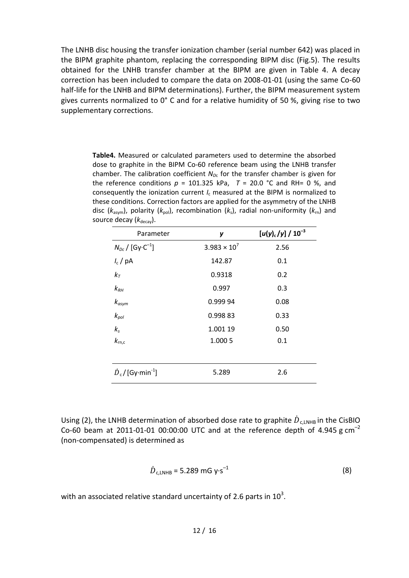The LNHB disc housing the transfer ionization chamber (serial number 642) was placed in the BIPM graphite phantom, replacing the corresponding BIPM disc (Fig.5). The results obtained for the LNHB transfer chamber at the BIPM are given in Table 4. A decay correction has been included to compare the data on 2008-01-01 (using the same Co-60 half-life for the LNHB and BIPM determinations). Further, the BIPM measurement system gives currents normalized to 0° C and for a relative humidity of 50 %, giving rise to two supplementary corrections.

**Table4.** Measured or calculated parameters used to determine the absorbed dose to graphite in the BIPM Co-60 reference beam using the LNHB transfer chamber. The calibration coefficient  $N_{Dc}$  for the transfer chamber is given for the reference conditions  $p = 101.325$  kPa,  $T = 20.0$  °C and RH= 0 %, and consequently the ionization current *I*<sup>c</sup> measured at the BIPM is normalized to these conditions. Correction factors are applied for the asymmetry of the LNHB disc (*k*asym), polarity (*k*pol), recombination (*k*s), radial non-uniformity (*k*rn) and source decay ( $k_{\text{decay}}$ ).

| Parameter                             | у                     | $[u(y)_{c}/y] / 10^{-3}$ |
|---------------------------------------|-----------------------|--------------------------|
| $N_{Dc}$ / [Gy·C <sup>-1</sup> ]      | $3.983 \times 10^{7}$ | 2.56                     |
| $I_c$ / pA                            | 142.87                | 0.1                      |
| $k_T$                                 | 0.9318                | 0.2                      |
| $k_{RH}$                              | 0.997                 | 0.3                      |
| $k_{asym}$                            | 0.999 94              | 0.08                     |
| $k_{pol}$                             | 0.99883               | 0.33                     |
| $k_{s}$                               | 1.001 19              | 0.50                     |
| $k_{\rm rn,c}$                        | 1.000 5               | 0.1                      |
|                                       |                       |                          |
| $\dot{D}_c$ / [Gy·min <sup>-1</sup> ] | 5.289                 | 2.6                      |

Using (2), the LNHB determination of absorbed dose rate to graphite  $\dot{D}_{c,LNHB}$  in the CisBIO Co-60 beam at 2011-01-01 00:00:00 UTC and at the reference depth of 4.945 g  $cm^{-2}$ (non-compensated) is determined as

$$
\dot{D}_{c,LNHB} = 5.289 \text{ mG y} \cdot \text{s}^{-1} \tag{8}
$$

with an associated relative standard uncertainty of 2.6 parts in  $10^3$ .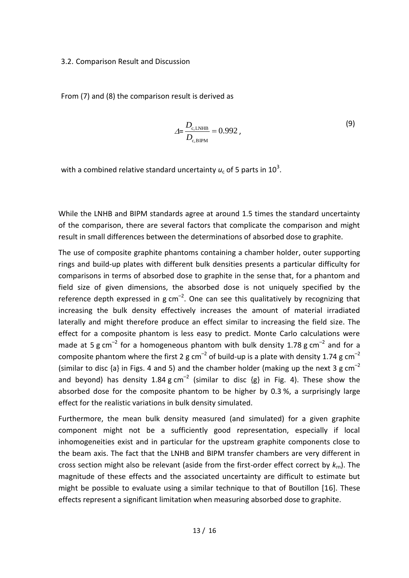#### 3.2. Comparison Result and Discussion

From (7) and (8) the comparison result is derived as

$$
\Delta = \frac{D_{\rm c, LNHB}}{D_{\rm c,BIPM}} = 0.992 \,, \tag{9}
$$

with a combined relative standard uncertainty  $u_c$  of 5 parts in 10<sup>3</sup>.

While the LNHB and BIPM standards agree at around 1.5 times the standard uncertainty of the comparison, there are several factors that complicate the comparison and might result in small differences between the determinations of absorbed dose to graphite.

The use of composite graphite phantoms containing a chamber holder, outer supporting rings and build-up plates with different bulk densities presents a particular difficulty for comparisons in terms of absorbed dose to graphite in the sense that, for a phantom and field size of given dimensions, the absorbed dose is not uniquely specified by the reference depth expressed in  $g \text{ cm}^{-2}$ . One can see this qualitatively by recognizing that increasing the bulk density effectively increases the amount of material irradiated laterally and might therefore produce an effect similar to increasing the field size. The effect for a composite phantom is less easy to predict. Monte Carlo calculations were made at 5 g cm<sup>-2</sup> for a homogeneous phantom with bulk density 1.78 g cm<sup>-2</sup> and for a composite phantom where the first 2 g cm<sup>-2</sup> of build-up is a plate with density 1.74 g cm<sup>-2</sup> (similar to disc  $\{a\}$  in Figs. 4 and 5) and the chamber holder (making up the next 3 g cm<sup>-2</sup> and beyond) has density 1.84 g cm<sup>-2</sup> (similar to disc  $\{g\}$  in Fig. 4). These show the absorbed dose for the composite phantom to be higher by 0.3 %, a surprisingly large effect for the realistic variations in bulk density simulated.

Furthermore, the mean bulk density measured (and simulated) for a given graphite component might not be a sufficiently good representation, especially if local inhomogeneities exist and in particular for the upstream graphite components close to the beam axis. The fact that the LNHB and BIPM transfer chambers are very different in cross section might also be relevant (aside from the first-order effect correct by *k*rn). The magnitude of these effects and the associated uncertainty are difficult to estimate but might be possible to evaluate using a similar technique to that of Boutillon [16]. These effects represent a significant limitation when measuring absorbed dose to graphite.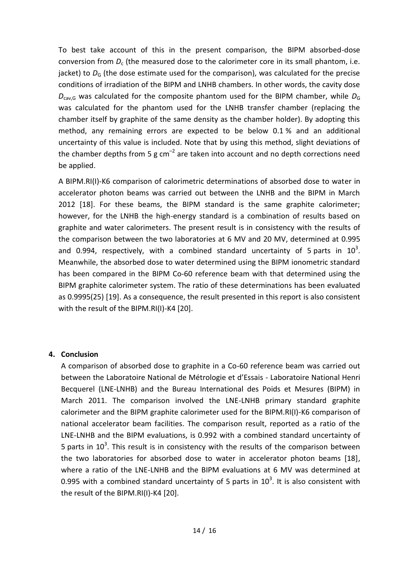To best take account of this in the present comparison, the BIPM absorbed-dose conversion from  $D_c$  (the measured dose to the calorimeter core in its small phantom, i.e. jacket) to  $D<sub>G</sub>$  (the dose estimate used for the comparison), was calculated for the precise conditions of irradiation of the BIPM and LNHB chambers. In other words, the cavity dose  $D_{\text{cav},G}$  was calculated for the composite phantom used for the BIPM chamber, while  $D_G$ was calculated for the phantom used for the LNHB transfer chamber (replacing the chamber itself by graphite of the same density as the chamber holder). By adopting this method, any remaining errors are expected to be below 0.1 % and an additional uncertainty of this value is included. Note that by using this method, slight deviations of the chamber depths from 5 g  $cm^{-2}$  are taken into account and no depth corrections need be applied.

A BIPM.RI(I)-K6 comparison of calorimetric determinations of absorbed dose to water in accelerator photon beams was carried out between the LNHB and the BIPM in March 2012 [18]. For these beams, the BIPM standard is the same graphite calorimeter; however, for the LNHB the high-energy standard is a combination of results based on graphite and water calorimeters. The present result is in consistency with the results of the comparison between the two laboratories at 6 MV and 20 MV, determined at 0.995 and 0.994, respectively, with a combined standard uncertainty of 5 parts in  $10^3$ . Meanwhile, the absorbed dose to water determined using the BIPM ionometric standard has been compared in the BIPM Co-60 reference beam with that determined using the BIPM graphite calorimeter system. The ratio of these determinations has been evaluated as 0.9995(25) [19]. As a consequence, the result presented in this report is also consistent with the result of the BIPM.RI(I)-K4 [20].

### **4. Conclusion**

A comparison of absorbed dose to graphite in a Co-60 reference beam was carried out between the Laboratoire National de Métrologie et d'Essais - Laboratoire National Henri Becquerel (LNE-LNHB) and the Bureau International des Poids et Mesures (BIPM) in March 2011. The comparison involved the LNE-LNHB primary standard graphite calorimeter and the BIPM graphite calorimeter used for the BIPM.RI(I)-K6 comparison of national accelerator beam facilities. The comparison result, reported as a ratio of the LNE-LNHB and the BIPM evaluations, is 0.992 with a combined standard uncertainty of 5 parts in  $10^3$ . This result is in consistency with the results of the comparison between the two laboratories for absorbed dose to water in accelerator photon beams [18], where a ratio of the LNE-LNHB and the BIPM evaluations at 6 MV was determined at 0.995 with a combined standard uncertainty of 5 parts in  $10^3$ . It is also consistent with the result of the BIPM.RI(I)-K4 [20].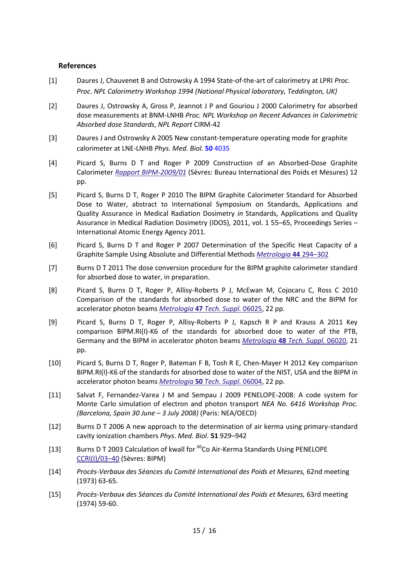#### **References**

- [1] Daures J, Chauvenet B and Ostrowsky A 1994 State-of-the-art of calorimetry at LPRI *Proc. Proc. NPL Calorimetry Workshop 1994 (National Physical laboratory, Teddington, UK)*
- [2] Daures J, Ostrowsky A, Gross P, Jeannot J P and Gouriou J 2000 Calorimetry for absorbed dose measurements at BNM-LNHB *Proc. NPL Workshop on Recent Advances in Calorimetric Absorbed dose Standards*, *NPL Report* CIRM-42
- [3] Daures J and Ostrowsky A 2005 New constant-temperature operating mode for graphite calorimeter at LNE-LNHB *Phys. Med. Biol.* **50** 4035
- [4] Picard S, Burns D T and Roger P 2009 Construction of an Absorbed-Dose Graphite Calorimeter *[Rapport BIPM-2009/01](http://www.bipm.org/utils/common/pdf/rapportBIPM/2009/01.pdf)* (Sèvres: Bureau International des Poids et Mesures) 12 pp.
- [5] Picard S, Burns D T, Roger P 2010 The BIPM Graphite Calorimeter Standard for Absorbed Dose to Water, abstract to International Symposium on Standards, Applications and Quality Assurance in Medical Radiation Dosimetry *in* Standards, Applications and Quality Assurance in Medical Radiation Dosimetry (IDOS), 2011, vol. 1 55–65, Proceedings Series – International Atomic Energy Agency 2011.
- [6] Picard S, Burns D T and Roger P 2007 Determination of the Specific Heat Capacity of a Graphite Sample Using Absolute and Differential Methods *[Metrologia](http://www.iop.org/EJ/abstract/0026-1394/44/5/005/)* **44** 294–302
- [7] Burns D T 2011 The dose conversion procedure for the BIPM graphite calorimeter standard for absorbed dose to water, in preparation.
- [8] Picard S, Burns D T, Roger P, Allisy-Roberts P J, McEwan M, Cojocaru C, Ross C 2010 Comparison of the standards for absorbed dose to water of the NRC and the BIPM for accelerator photon beams *Metrologia* **47** *[Tech. Suppl.](http://iopscience.iop.org/0026-1394/47/1A/06025/)* 06025, 22 pp.
- [9] Picard S, Burns D T, Roger P, Allisy-Roberts P J, Kapsch R P and Krauss A 2011 Key comparison BIPM.RI(I)-K6 of the standards for absorbed dose to water of the PTB, Germany and the BIPM in accelerator photon beams *Metrologia* **48** *[Tech. Suppl.](http://iopscience.iop.org/0026-1394/48/1A/06020/)* 06020, 21 pp.
- [10] Picard S, Burns D T, Roger P, Bateman F B, Tosh R E, Chen-Mayer H 2012 Key comparison BIPM.RI(I)-K6 of the standards for absorbed dose to water of the NIST, USA and the BIPM in accelerator photon beams *Metrologia* **50** *[Tech. Suppl.](http://iopscience.iop.org/0026-1394/50/1A/06004/)* 06004, 22 pp.
- [11] Salvat F, Fernandez-Varea J M and Sempau J 2009 PENELOPE-2008: A code system for Monte Carlo simulation of electron and photon transport *NEA No. 6416 Workshop Proc. (Barcelona, Spain 30 June – 3 July 2008)* (Paris: NEA/OECD)
- [12] Burns D T 2006 A new approach to the determination of air kerma using primary-standard cavity ionization chambers *Phys*. *Med*. *Biol*. **51** 929–942
- [13] Burns D T 2003 Calculation of kwall for  $^{60}$ Co Air-Kerma Standards Using PENELOPE [CCRI\(I\)/03](http://www1.bipm.org/cc/CCRI(I)/Allowed/16/CCRI(I)03-40.pdf)–40 (Sèvres: BIPM)
- [14] *Procès-Verbaux des Séances du Comité International des Poids et Mesures,* 62nd meeting (1973) 63-65.
- [15] *Procès-Verbaux des Séances du Comité International des Poids et Mesures,* 63rd meeting (1974) 59-60.